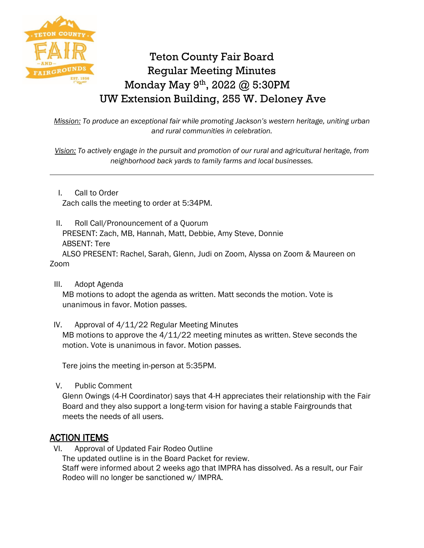

# Teton County Fair Board Regular Meeting Minutes Monday May 9th, 2022 @ 5:30PM UW Extension Building, 255 W. Deloney Ave

*Mission: To produce an exceptional fair while promoting Jackson's western heritage, uniting urban and rural communities in celebration.*

*Vision: To actively engage in the pursuit and promotion of our rural and agricultural heritage, from neighborhood back yards to family farms and local businesses.*

I. Call to Order Zach calls the meeting to order at 5:34PM.

II. Roll Call/Pronouncement of a Quorum PRESENT: Zach, MB, Hannah, Matt, Debbie, Amy Steve, Donnie ABSENT: Tere

ALSO PRESENT: Rachel, Sarah, Glenn, Judi on Zoom, Alyssa on Zoom & Maureen on Zoom

III. Adopt Agenda

MB motions to adopt the agenda as written. Matt seconds the motion. Vote is unanimous in favor. Motion passes.

IV. Approval of 4/11/22 Regular Meeting Minutes

MB motions to approve the  $4/11/22$  meeting minutes as written. Steve seconds the motion. Vote is unanimous in favor. Motion passes.

Tere joins the meeting in-person at 5:35PM.

V. Public Comment

Glenn Owings (4-H Coordinator) says that 4-H appreciates their relationship with the Fair Board and they also support a long-term vision for having a stable Fairgrounds that meets the needs of all users.

# ACTION ITEMS

VI. Approval of Updated Fair Rodeo Outline

The updated outline is in the Board Packet for review.

Staff were informed about 2 weeks ago that IMPRA has dissolved. As a result, our Fair Rodeo will no longer be sanctioned w/ IMPRA.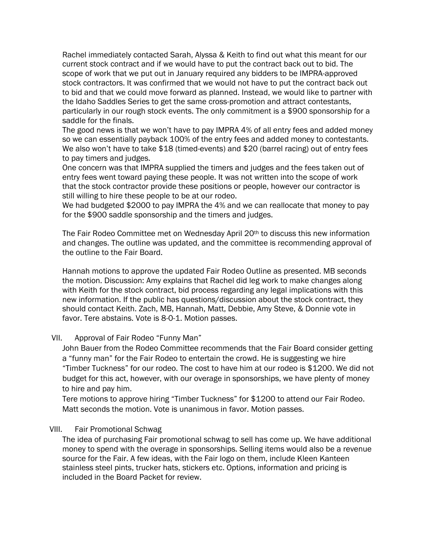Rachel immediately contacted Sarah, Alyssa & Keith to find out what this meant for our current stock contract and if we would have to put the contract back out to bid. The scope of work that we put out in January required any bidders to be IMPRA-approved stock contractors. It was confirmed that we would not have to put the contract back out to bid and that we could move forward as planned. Instead, we would like to partner with the Idaho Saddles Series to get the same cross-promotion and attract contestants, particularly in our rough stock events. The only commitment is a \$900 sponsorship for a saddle for the finals.

The good news is that we won't have to pay IMPRA 4% of all entry fees and added money so we can essentially payback 100% of the entry fees and added money to contestants. We also won't have to take \$18 (timed-events) and \$20 (barrel racing) out of entry fees to pay timers and judges.

One concern was that IMPRA supplied the timers and judges and the fees taken out of entry fees went toward paying these people. It was not written into the scope of work that the stock contractor provide these positions or people, however our contractor is still willing to hire these people to be at our rodeo.

We had budgeted \$2000 to pay IMPRA the 4% and we can reallocate that money to pay for the \$900 saddle sponsorship and the timers and judges.

The Fair Rodeo Committee met on Wednesday April 20<sup>th</sup> to discuss this new information and changes. The outline was updated, and the committee is recommending approval of the outline to the Fair Board.

Hannah motions to approve the updated Fair Rodeo Outline as presented. MB seconds the motion. Discussion: Amy explains that Rachel did leg work to make changes along with Keith for the stock contract, bid process regarding any legal implications with this new information. If the public has questions/discussion about the stock contract, they should contact Keith. Zach, MB, Hannah, Matt, Debbie, Amy Steve, & Donnie vote in favor. Tere abstains. Vote is 8-0-1. Motion passes.

#### VII. Approval of Fair Rodeo "Funny Man"

John Bauer from the Rodeo Committee recommends that the Fair Board consider getting a "funny man" for the Fair Rodeo to entertain the crowd. He is suggesting we hire "Timber Tuckness" for our rodeo. The cost to have him at our rodeo is \$1200. We did not budget for this act, however, with our overage in sponsorships, we have plenty of money to hire and pay him.

Tere motions to approve hiring "Timber Tuckness" for \$1200 to attend our Fair Rodeo. Matt seconds the motion. Vote is unanimous in favor. Motion passes.

#### VIII. Fair Promotional Schwag

The idea of purchasing Fair promotional schwag to sell has come up. We have additional money to spend with the overage in sponsorships. Selling items would also be a revenue source for the Fair. A few ideas, with the Fair logo on them, include Kleen Kanteen stainless steel pints, trucker hats, stickers etc. Options, information and pricing is included in the Board Packet for review.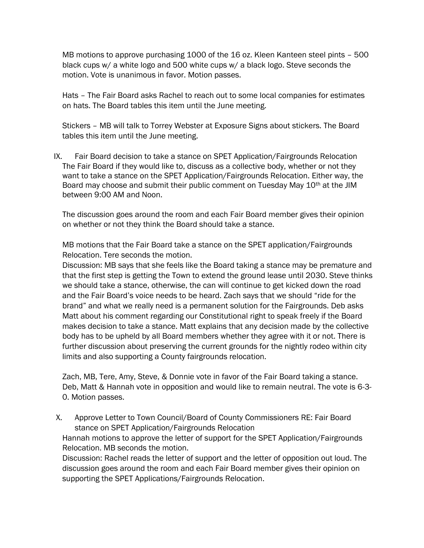MB motions to approve purchasing 1000 of the 16 oz. Kleen Kanteen steel pints – 500 black cups w/ a white logo and 500 white cups w/ a black logo. Steve seconds the motion. Vote is unanimous in favor. Motion passes.

Hats – The Fair Board asks Rachel to reach out to some local companies for estimates on hats. The Board tables this item until the June meeting.

Stickers – MB will talk to Torrey Webster at Exposure Signs about stickers. The Board tables this item until the June meeting.

IX. Fair Board decision to take a stance on SPET Application/Fairgrounds Relocation The Fair Board if they would like to, discuss as a collective body, whether or not they want to take a stance on the SPET Application/Fairgrounds Relocation. Either way, the Board may choose and submit their public comment on Tuesday May 10<sup>th</sup> at the JIM between 9:00 AM and Noon.

The discussion goes around the room and each Fair Board member gives their opinion on whether or not they think the Board should take a stance.

MB motions that the Fair Board take a stance on the SPET application/Fairgrounds Relocation. Tere seconds the motion.

Discussion: MB says that she feels like the Board taking a stance may be premature and that the first step is getting the Town to extend the ground lease until 2030. Steve thinks we should take a stance, otherwise, the can will continue to get kicked down the road and the Fair Board's voice needs to be heard. Zach says that we should "ride for the brand" and what we really need is a permanent solution for the Fairgrounds. Deb asks Matt about his comment regarding our Constitutional right to speak freely if the Board makes decision to take a stance. Matt explains that any decision made by the collective body has to be upheld by all Board members whether they agree with it or not. There is further discussion about preserving the current grounds for the nightly rodeo within city limits and also supporting a County fairgrounds relocation.

Zach, MB, Tere, Amy, Steve, & Donnie vote in favor of the Fair Board taking a stance. Deb, Matt & Hannah vote in opposition and would like to remain neutral. The vote is 6-3- 0. Motion passes.

X. Approve Letter to Town Council/Board of County Commissioners RE: Fair Board stance on SPET Application/Fairgrounds Relocation

Hannah motions to approve the letter of support for the SPET Application/Fairgrounds Relocation. MB seconds the motion.

Discussion: Rachel reads the letter of support and the letter of opposition out loud. The discussion goes around the room and each Fair Board member gives their opinion on supporting the SPET Applications/Fairgrounds Relocation.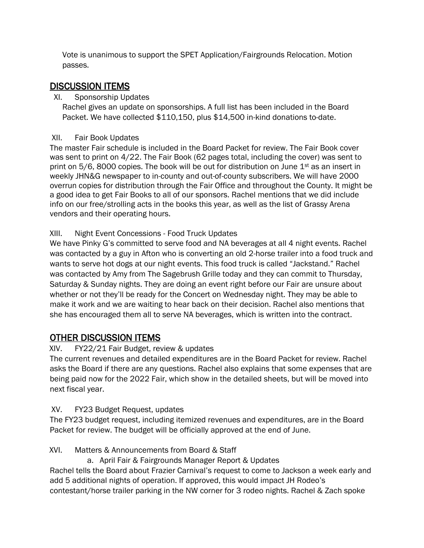Vote is unanimous to support the SPET Application/Fairgrounds Relocation. Motion passes.

# DISCUSSION ITEMS

#### XI. Sponsorship Updates

Rachel gives an update on sponsorships. A full list has been included in the Board Packet. We have collected \$110,150, plus \$14,500 in-kind donations to-date.

#### XII. Fair Book Updates

The master Fair schedule is included in the Board Packet for review. The Fair Book cover was sent to print on 4/22. The Fair Book (62 pages total, including the cover) was sent to print on  $5/6$ , 8000 copies. The book will be out for distribution on June  $1<sup>st</sup>$  as an insert in weekly JHN&G newspaper to in-county and out-of-county subscribers. We will have 2000 overrun copies for distribution through the Fair Office and throughout the County. It might be a good idea to get Fair Books to all of our sponsors. Rachel mentions that we did include info on our free/strolling acts in the books this year, as well as the list of Grassy Arena vendors and their operating hours.

#### XIII. Night Event Concessions - Food Truck Updates

We have Pinky G's committed to serve food and NA beverages at all 4 night events. Rachel was contacted by a guy in Afton who is converting an old 2-horse trailer into a food truck and wants to serve hot dogs at our night events. This food truck is called "Jackstand." Rachel was contacted by Amy from The Sagebrush Grille today and they can commit to Thursday, Saturday & Sunday nights. They are doing an event right before our Fair are unsure about whether or not they'll be ready for the Concert on Wednesday night. They may be able to make it work and we are waiting to hear back on their decision. Rachel also mentions that she has encouraged them all to serve NA beverages, which is written into the contract.

# OTHER DISCUSSION ITEMS

#### XIV. FY22/21 Fair Budget, review & updates

The current revenues and detailed expenditures are in the Board Packet for review. Rachel asks the Board if there are any questions. Rachel also explains that some expenses that are being paid now for the 2022 Fair, which show in the detailed sheets, but will be moved into next fiscal year.

#### XV. FY23 Budget Request, updates

The FY23 budget request, including itemized revenues and expenditures, are in the Board Packet for review. The budget will be officially approved at the end of June.

#### XVI. Matters & Announcements from Board & Staff

a. April Fair & Fairgrounds Manager Report & Updates

Rachel tells the Board about Frazier Carnival's request to come to Jackson a week early and add 5 additional nights of operation. If approved, this would impact JH Rodeo's contestant/horse trailer parking in the NW corner for 3 rodeo nights. Rachel & Zach spoke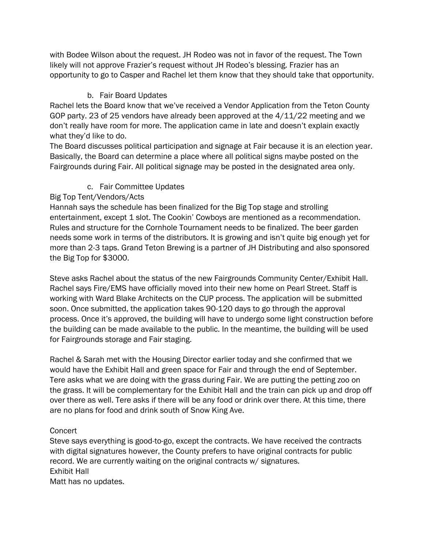with Bodee Wilson about the request. JH Rodeo was not in favor of the request. The Town likely will not approve Frazier's request without JH Rodeo's blessing. Frazier has an opportunity to go to Casper and Rachel let them know that they should take that opportunity.

### b. Fair Board Updates

Rachel lets the Board know that we've received a Vendor Application from the Teton County GOP party. 23 of 25 vendors have already been approved at the 4/11/22 meeting and we don't really have room for more. The application came in late and doesn't explain exactly what they'd like to do.

The Board discusses political participation and signage at Fair because it is an election year. Basically, the Board can determine a place where all political signs maybe posted on the Fairgrounds during Fair. All political signage may be posted in the designated area only.

## c. Fair Committee Updates

## Big Top Tent/Vendors/Acts

Hannah says the schedule has been finalized for the Big Top stage and strolling entertainment, except 1 slot. The Cookin' Cowboys are mentioned as a recommendation. Rules and structure for the Cornhole Tournament needs to be finalized. The beer garden needs some work in terms of the distributors. It is growing and isn't quite big enough yet for more than 2-3 taps. Grand Teton Brewing is a partner of JH Distributing and also sponsored the Big Top for \$3000.

Steve asks Rachel about the status of the new Fairgrounds Community Center/Exhibit Hall. Rachel says Fire/EMS have officially moved into their new home on Pearl Street. Staff is working with Ward Blake Architects on the CUP process. The application will be submitted soon. Once submitted, the application takes 90-120 days to go through the approval process. Once it's approved, the building will have to undergo some light construction before the building can be made available to the public. In the meantime, the building will be used for Fairgrounds storage and Fair staging.

Rachel & Sarah met with the Housing Director earlier today and she confirmed that we would have the Exhibit Hall and green space for Fair and through the end of September. Tere asks what we are doing with the grass during Fair. We are putting the petting zoo on the grass. It will be complementary for the Exhibit Hall and the train can pick up and drop off over there as well. Tere asks if there will be any food or drink over there. At this time, there are no plans for food and drink south of Snow King Ave.

#### **Concert**

Steve says everything is good-to-go, except the contracts. We have received the contracts with digital signatures however, the County prefers to have original contracts for public record. We are currently waiting on the original contracts w/ signatures. Exhibit Hall Matt has no updates.